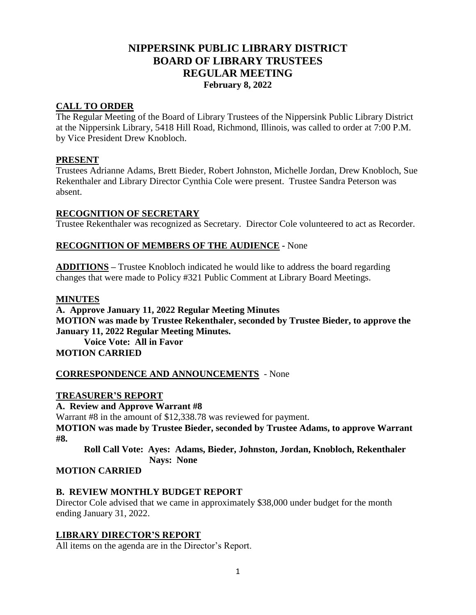# **NIPPERSINK PUBLIC LIBRARY DISTRICT BOARD OF LIBRARY TRUSTEES REGULAR MEETING February 8, 2022**

# **CALL TO ORDER**

The Regular Meeting of the Board of Library Trustees of the Nippersink Public Library District at the Nippersink Library, 5418 Hill Road, Richmond, Illinois, was called to order at 7:00 P.M. by Vice President Drew Knobloch.

# **PRESENT**

Trustees Adrianne Adams, Brett Bieder, Robert Johnston, Michelle Jordan, Drew Knobloch, Sue Rekenthaler and Library Director Cynthia Cole were present. Trustee Sandra Peterson was absent.

# **RECOGNITION OF SECRETARY**

Trustee Rekenthaler was recognized as Secretary. Director Cole volunteered to act as Recorder.

# **RECOGNITION OF MEMBERS OF THE AUDIENCE -** None

**ADDITIONS** *–* Trustee Knobloch indicated he would like to address the board regarding changes that were made to Policy #321 Public Comment at Library Board Meetings.

#### **MINUTES**

**A. Approve January 11, 2022 Regular Meeting Minutes MOTION was made by Trustee Rekenthaler, seconded by Trustee Bieder, to approve the January 11, 2022 Regular Meeting Minutes. Voice Vote: All in Favor**

# **MOTION CARRIED**

#### **CORRESPONDENCE AND ANNOUNCEMENTS** - None

#### **TREASURER'S REPORT**

**A. Review and Approve Warrant #8** Warrant #8 in the amount of \$12,338.78 was reviewed for payment. **MOTION was made by Trustee Bieder, seconded by Trustee Adams, to approve Warrant #8.**

**Roll Call Vote: Ayes: Adams, Bieder, Johnston, Jordan, Knobloch, Rekenthaler Nays: None**

#### **MOTION CARRIED**

#### **B. REVIEW MONTHLY BUDGET REPORT**

Director Cole advised that we came in approximately \$38,000 under budget for the month ending January 31, 2022.

# **LIBRARY DIRECTOR'S REPORT**

All items on the agenda are in the Director's Report.